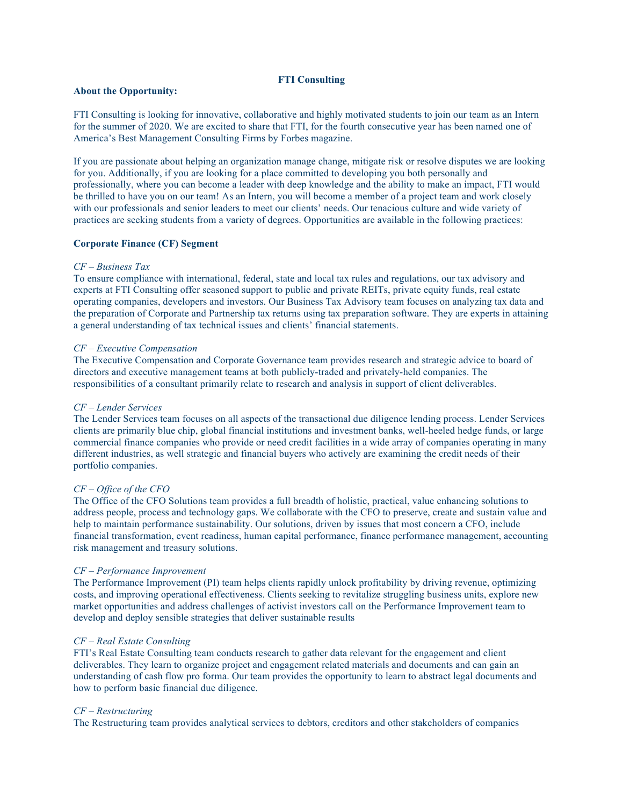# **FTI Consulting**

## **About the Opportunity:**

FTI Consulting is looking for innovative, collaborative and highly motivated students to join our team as an Intern for the summer of 2020. We are excited to share that FTI, for the fourth consecutive year has been named one of America's Best Management Consulting Firms by Forbes magazine.

If you are passionate about helping an organization manage change, mitigate risk or resolve disputes we are looking for you. Additionally, if you are looking for a place committed to developing you both personally and professionally, where you can become a leader with deep knowledge and the ability to make an impact, FTI would be thrilled to have you on our team! As an Intern, you will become a member of a project team and work closely with our professionals and senior leaders to meet our clients' needs. Our tenacious culture and wide variety of practices are seeking students from a variety of degrees. Opportunities are available in the following practices:

### **Corporate Finance (CF) Segment**

#### *CF – Business Tax*

To ensure compliance with international, federal, state and local tax rules and regulations, our tax advisory and experts at FTI Consulting offer seasoned support to public and private REITs, private equity funds, real estate operating companies, developers and investors. Our Business Tax Advisory team focuses on analyzing tax data and the preparation of Corporate and Partnership tax returns using tax preparation software. They are experts in attaining a general understanding of tax technical issues and clients' financial statements.

## *CF – Executive Compensation*

The Executive Compensation and Corporate Governance team provides research and strategic advice to board of directors and executive management teams at both publicly-traded and privately-held companies. The responsibilities of a consultant primarily relate to research and analysis in support of client deliverables.

### *CF – Lender Services*

The Lender Services team focuses on all aspects of the transactional due diligence lending process. Lender Services clients are primarily blue chip, global financial institutions and investment banks, well-heeled hedge funds, or large commercial finance companies who provide or need credit facilities in a wide array of companies operating in many different industries, as well strategic and financial buyers who actively are examining the credit needs of their portfolio companies.

## *CF – Office of the CFO*

The Office of the CFO Solutions team provides a full breadth of holistic, practical, value enhancing solutions to address people, process and technology gaps. We collaborate with the CFO to preserve, create and sustain value and help to maintain performance sustainability. Our solutions, driven by issues that most concern a CFO, include financial transformation, event readiness, human capital performance, finance performance management, accounting risk management and treasury solutions.

## *CF – Performance Improvement*

The Performance Improvement (PI) team helps clients rapidly unlock profitability by driving revenue, optimizing costs, and improving operational effectiveness. Clients seeking to revitalize struggling business units, explore new market opportunities and address challenges of activist investors call on the Performance Improvement team to develop and deploy sensible strategies that deliver sustainable results

## *CF – Real Estate Consulting*

FTI's Real Estate Consulting team conducts research to gather data relevant for the engagement and client deliverables. They learn to organize project and engagement related materials and documents and can gain an understanding of cash flow pro forma. Our team provides the opportunity to learn to abstract legal documents and how to perform basic financial due diligence.

### *CF – Restructuring*

The Restructuring team provides analytical services to debtors, creditors and other stakeholders of companies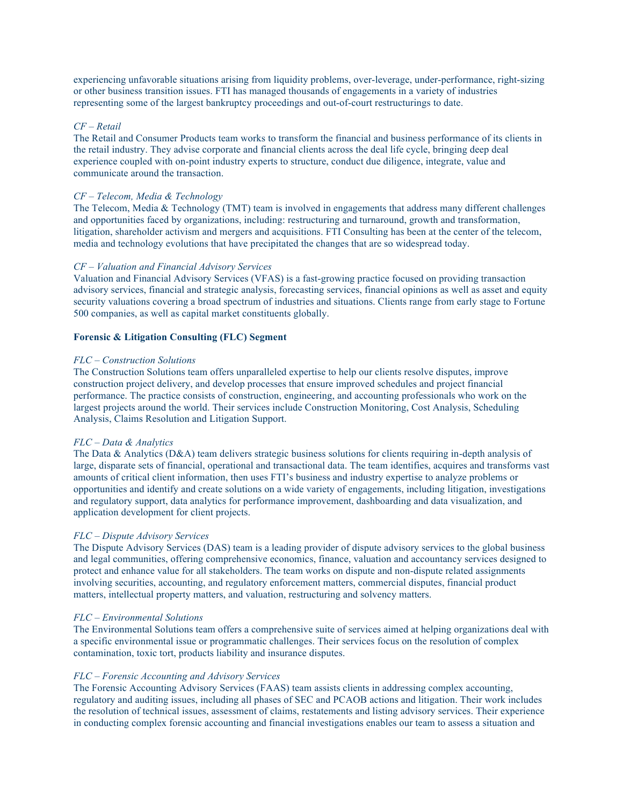experiencing unfavorable situations arising from liquidity problems, over-leverage, under-performance, right-sizing or other business transition issues. FTI has managed thousands of engagements in a variety of industries representing some of the largest bankruptcy proceedings and out-of-court restructurings to date.

### *CF – Retail*

The Retail and Consumer Products team works to transform the financial and business performance of its clients in the retail industry. They advise corporate and financial clients across the deal life cycle, bringing deep deal experience coupled with on-point industry experts to structure, conduct due diligence, integrate, value and communicate around the transaction.

### *CF – Telecom, Media & Technology*

The Telecom, Media & Technology (TMT) team is involved in engagements that address many different challenges and opportunities faced by organizations, including: restructuring and turnaround, growth and transformation, litigation, shareholder activism and mergers and acquisitions. FTI Consulting has been at the center of the telecom, media and technology evolutions that have precipitated the changes that are so widespread today.

## *CF – Valuation and Financial Advisory Services*

Valuation and Financial Advisory Services (VFAS) is a fast-growing practice focused on providing transaction advisory services, financial and strategic analysis, forecasting services, financial opinions as well as asset and equity security valuations covering a broad spectrum of industries and situations. Clients range from early stage to Fortune 500 companies, as well as capital market constituents globally.

## **Forensic & Litigation Consulting (FLC) Segment**

### *FLC – Construction Solutions*

The Construction Solutions team offers unparalleled expertise to help our clients resolve disputes, improve construction project delivery, and develop processes that ensure improved schedules and project financial performance. The practice consists of construction, engineering, and accounting professionals who work on the largest projects around the world. Their services include Construction Monitoring, Cost Analysis, Scheduling Analysis, Claims Resolution and Litigation Support.

### *FLC – Data & Analytics*

The Data & Analytics (D&A) team delivers strategic business solutions for clients requiring in-depth analysis of large, disparate sets of financial, operational and transactional data. The team identifies, acquires and transforms vast amounts of critical client information, then uses FTI's business and industry expertise to analyze problems or opportunities and identify and create solutions on a wide variety of engagements, including litigation, investigations and regulatory support, data analytics for performance improvement, dashboarding and data visualization, and application development for client projects.

## *FLC – Dispute Advisory Services*

The Dispute Advisory Services (DAS) team is a leading provider of dispute advisory services to the global business and legal communities, offering comprehensive economics, finance, valuation and accountancy services designed to protect and enhance value for all stakeholders. The team works on dispute and non-dispute related assignments involving securities, accounting, and regulatory enforcement matters, commercial disputes, financial product matters, intellectual property matters, and valuation, restructuring and solvency matters.

#### *FLC – Environmental Solutions*

The Environmental Solutions team offers a comprehensive suite of services aimed at helping organizations deal with a specific environmental issue or programmatic challenges. Their services focus on the resolution of complex contamination, toxic tort, products liability and insurance disputes.

# *FLC – Forensic Accounting and Advisory Services*

The Forensic Accounting Advisory Services (FAAS) team assists clients in addressing complex accounting, regulatory and auditing issues, including all phases of SEC and PCAOB actions and litigation. Their work includes the resolution of technical issues, assessment of claims, restatements and listing advisory services. Their experience in conducting complex forensic accounting and financial investigations enables our team to assess a situation and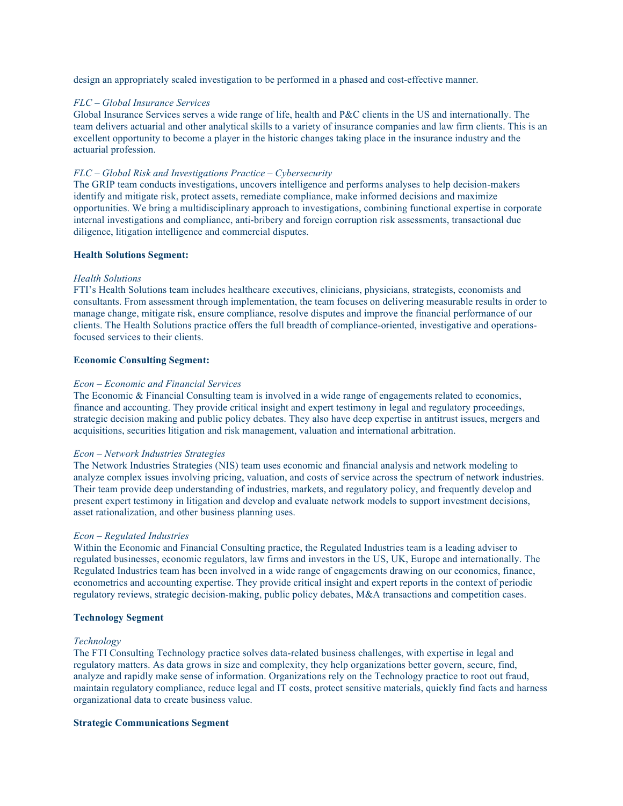design an appropriately scaled investigation to be performed in a phased and cost-effective manner.

## *FLC – Global Insurance Services*

Global Insurance Services serves a wide range of life, health and P&C clients in the US and internationally. The team delivers actuarial and other analytical skills to a variety of insurance companies and law firm clients. This is an excellent opportunity to become a player in the historic changes taking place in the insurance industry and the actuarial profession.

## *FLC – Global Risk and Investigations Practice – Cybersecurity*

The GRIP team conducts investigations, uncovers intelligence and performs analyses to help decision-makers identify and mitigate risk, protect assets, remediate compliance, make informed decisions and maximize opportunities. We bring a multidisciplinary approach to investigations, combining functional expertise in corporate internal investigations and compliance, anti-bribery and foreign corruption risk assessments, transactional due diligence, litigation intelligence and commercial disputes.

### **Health Solutions Segment:**

#### *Health Solutions*

FTI's Health Solutions team includes healthcare executives, clinicians, physicians, strategists, economists and consultants. From assessment through implementation, the team focuses on delivering measurable results in order to manage change, mitigate risk, ensure compliance, resolve disputes and improve the financial performance of our clients. The Health Solutions practice offers the full breadth of compliance-oriented, investigative and operationsfocused services to their clients.

#### **Economic Consulting Segment:**

#### *Econ – Economic and Financial Services*

The Economic & Financial Consulting team is involved in a wide range of engagements related to economics, finance and accounting. They provide critical insight and expert testimony in legal and regulatory proceedings, strategic decision making and public policy debates. They also have deep expertise in antitrust issues, mergers and acquisitions, securities litigation and risk management, valuation and international arbitration.

#### *Econ – Network Industries Strategies*

The Network Industries Strategies (NIS) team uses economic and financial analysis and network modeling to analyze complex issues involving pricing, valuation, and costs of service across the spectrum of network industries. Their team provide deep understanding of industries, markets, and regulatory policy, and frequently develop and present expert testimony in litigation and develop and evaluate network models to support investment decisions, asset rationalization, and other business planning uses.

#### *Econ – Regulated Industries*

Within the Economic and Financial Consulting practice, the Regulated Industries team is a leading adviser to regulated businesses, economic regulators, law firms and investors in the US, UK, Europe and internationally. The Regulated Industries team has been involved in a wide range of engagements drawing on our economics, finance, econometrics and accounting expertise. They provide critical insight and expert reports in the context of periodic regulatory reviews, strategic decision-making, public policy debates, M&A transactions and competition cases.

### **Technology Segment**

#### *Technology*

The FTI Consulting Technology practice solves data-related business challenges, with expertise in legal and regulatory matters. As data grows in size and complexity, they help organizations better govern, secure, find, analyze and rapidly make sense of information. Organizations rely on the Technology practice to root out fraud, maintain regulatory compliance, reduce legal and IT costs, protect sensitive materials, quickly find facts and harness organizational data to create business value.

## **Strategic Communications Segment**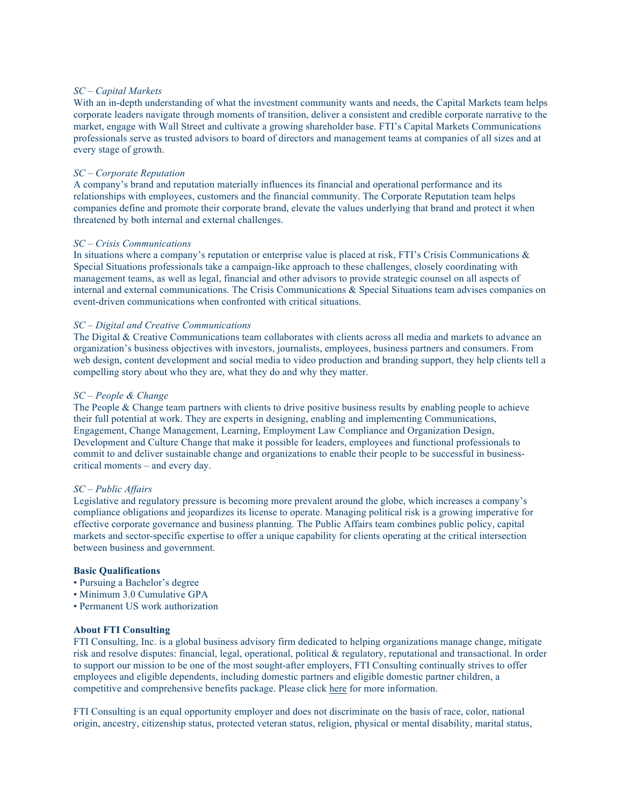### *SC – Capital Markets*

With an in-depth understanding of what the investment community wants and needs, the Capital Markets team helps corporate leaders navigate through moments of transition, deliver a consistent and credible corporate narrative to the market, engage with Wall Street and cultivate a growing shareholder base. FTI's Capital Markets Communications professionals serve as trusted advisors to board of directors and management teams at companies of all sizes and at every stage of growth.

## *SC – Corporate Reputation*

A company's brand and reputation materially influences its financial and operational performance and its relationships with employees, customers and the financial community. The Corporate Reputation team helps companies define and promote their corporate brand, elevate the values underlying that brand and protect it when threatened by both internal and external challenges.

# *SC – Crisis Communications*

In situations where a company's reputation or enterprise value is placed at risk, FTI's Crisis Communications & Special Situations professionals take a campaign-like approach to these challenges, closely coordinating with management teams, as well as legal, financial and other advisors to provide strategic counsel on all aspects of internal and external communications. The Crisis Communications & Special Situations team advises companies on event-driven communications when confronted with critical situations.

### *SC – Digital and Creative Communications*

The Digital & Creative Communications team collaborates with clients across all media and markets to advance an organization's business objectives with investors, journalists, employees, business partners and consumers. From web design, content development and social media to video production and branding support, they help clients tell a compelling story about who they are, what they do and why they matter.

#### *SC – People & Change*

The People & Change team partners with clients to drive positive business results by enabling people to achieve their full potential at work. They are experts in designing, enabling and implementing Communications, Engagement, Change Management, Learning, Employment Law Compliance and Organization Design, Development and Culture Change that make it possible for leaders, employees and functional professionals to commit to and deliver sustainable change and organizations to enable their people to be successful in businesscritical moments – and every day.

#### *SC – Public Affairs*

Legislative and regulatory pressure is becoming more prevalent around the globe, which increases a company's compliance obligations and jeopardizes its license to operate. Managing political risk is a growing imperative for effective corporate governance and business planning. The Public Affairs team combines public policy, capital markets and sector-specific expertise to offer a unique capability for clients operating at the critical intersection between business and government.

## **Basic Qualifications**

- Pursuing a Bachelor's degree
- Minimum 3.0 Cumulative GPA
- Permanent US work authorization

#### **About FTI Consulting**

FTI Consulting, Inc. is a global business advisory firm dedicated to helping organizations manage change, mitigate risk and resolve disputes: financial, legal, operational, political & regulatory, reputational and transactional. In order to support our mission to be one of the most sought-after employers, FTI Consulting continually strives to offer employees and eligible dependents, including domestic partners and eligible domestic partner children, a competitive and comprehensive benefits package. Please click here for more information.

FTI Consulting is an equal opportunity employer and does not discriminate on the basis of race, color, national origin, ancestry, citizenship status, protected veteran status, religion, physical or mental disability, marital status,